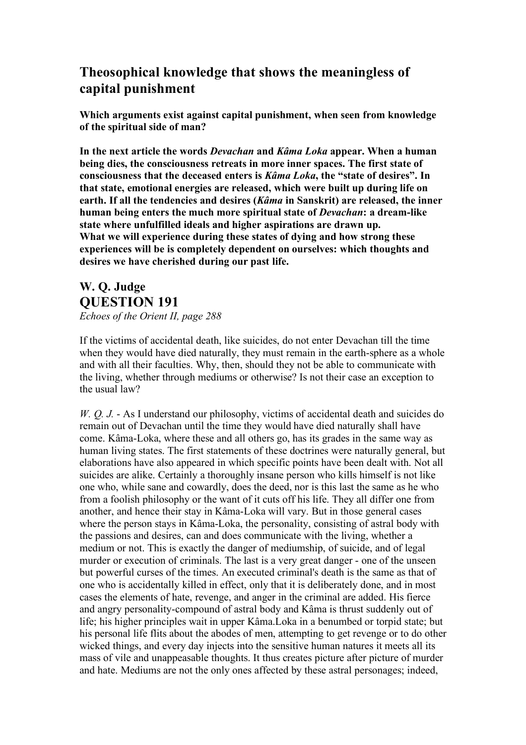## **Theosophical knowledge that shows the meaningless of capital punishment**

**Which arguments exist against capital punishment, when seen from knowledge of the spiritual side of man?**

**In the next article the words** *Devachan* **and** *Kâma Loka* **appear. When a human being dies, the consciousness retreats in more inner spaces. The first state of consciousness that the deceased enters is** *Kâma Loka***, the "state of desires". In that state, emotional energies are released, which were built up during life on earth. If all the tendencies and desires (***Kâma* **in Sanskrit) are released, the inner human being enters the much more spiritual state of** *Devachan***: a dream-like state where unfulfilled ideals and higher aspirations are drawn up. What we will experience during these states of dying and how strong these experiences will be is completely dependent on ourselves: which thoughts and desires we have cherished during our past life.**

## **W. Q. Judge QUESTION 191** *Echoes of the Orient II, page 288*

If the victims of accidental death, like suicides, do not enter Devachan till the time when they would have died naturally, they must remain in the earth-sphere as a whole and with all their faculties. Why, then, should they not be able to communicate with the living, whether through mediums or otherwise? Is not their case an exception to the usual law?

*W. Q. J.* - As I understand our philosophy, victims of accidental death and suicides do remain out of Devachan until the time they would have died naturally shall have come. Kâma-Loka, where these and all others go, has its grades in the same way as human living states. The first statements of these doctrines were naturally general, but elaborations have also appeared in which specific points have been dealt with. Not all suicides are alike. Certainly a thoroughly insane person who kills himself is not like one who, while sane and cowardly, does the deed, nor is this last the same as he who from a foolish philosophy or the want of it cuts off his life. They all differ one from another, and hence their stay in Kâma-Loka will vary. But in those general cases where the person stays in Kâma-Loka, the personality, consisting of astral body with the passions and desires, can and does communicate with the living, whether a medium or not. This is exactly the danger of mediumship, of suicide, and of legal murder or execution of criminals. The last is a very great danger - one of the unseen but powerful curses of the times. An executed criminal's death is the same as that of one who is accidentally killed in effect, only that it is deliberately done, and in most cases the elements of hate, revenge, and anger in the criminal are added. His fierce and angry personality-compound of astral body and Kâma is thrust suddenly out of life; his higher principles wait in upper Kâma.Loka in a benumbed or torpid state; but his personal life flits about the abodes of men, attempting to get revenge or to do other wicked things, and every day injects into the sensitive human natures it meets all its mass of vile and unappeasable thoughts. It thus creates picture after picture of murder and hate. Mediums are not the only ones affected by these astral personages; indeed,